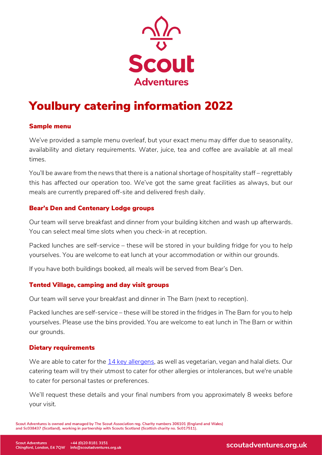

# Youlbury catering information 2022

#### Sample menu

We've provided a sample menu overleaf, but your exact menu may differ due to seasonality, availability and dietary requirements. Water, juice, tea and coffee are available at all meal times.

You'll be aware from the news that there is a national shortage of hospitality staff – regrettably this has affected our operation too. We've got the same great facilities as always, but our meals are currently prepared off-site and delivered fresh daily.

## Bear's Den and Centenary Lodge groups

Our team will serve breakfast and dinner from your building kitchen and wash up afterwards. You can select meal time slots when you check-in at reception.

Packed lunches are self-service – these will be stored in your building fridge for you to help yourselves. You are welcome to eat lunch at your accommodation or within our grounds.

If you have both buildings booked, all meals will be served from Bear's Den.

## Tented Village, camping and day visit groups

Our team will serve your breakfast and dinner in The Barn (next to reception).

Packed lunches are self-service – these will be stored in the fridges in The Barn for you to help yourselves. Please use the bins provided. You are welcome to eat lunch in The Barn or within our grounds.

## Dietary requirements

We are able to cater for the [14 key allergens,](https://www.food.gov.uk/safety-hygiene/allergy-and-intolerance) as well as vegetarian, vegan and halal diets. Our catering team will try their utmost to cater for other allergies or intolerances, but we're unable to cater for personal tastes or preferences.

We'll request these details and your final numbers from you approximately 8 weeks before your visit.

Scout Adventures is owned and managed by The Scout Association reg. Charity numbers 306101 (England and Wales) and Sc038437 (Scotland), working in partnership with Scouts Scotland (Scottish charity no. Sc017511).

scoutadventures.org.uk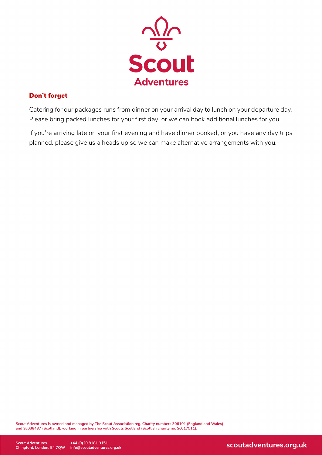

#### Don't forget

Catering for our packages runs from dinner on your arrival day to lunch on your departure day. Please bring packed lunches for your first day, or we can book additional lunches for you.

If you're arriving late on your first evening and have dinner booked, or you have any day trips planned, please give us a heads up so we can make alternative arrangements with you.

Scout Adventures is owned and managed by The Scout Association reg. Charity numbers 306101 (England and Wales) and Sc038437 (Scotland), working in partnership with Scouts Scotland (Scottish charity no. Sc017511).